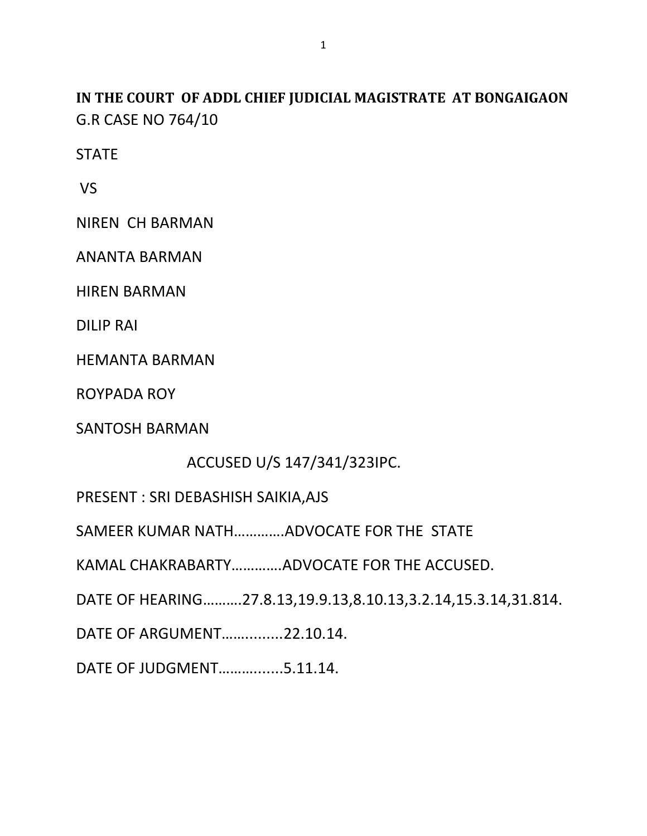**IN THE COURT OF ADDL CHIEF JUDICIAL MAGISTRATE AT BONGAIGAON** G.R CASE NO 764/10

**STATE** 

VS

NIREN CH BARMAN

ANANTA BARMAN

HIREN BARMAN

DILIP RAI

HEMANTA BARMAN

ROYPADA ROY

SANTOSH BARMAN

ACCUSED U/S 147/341/323IPC.

PRESENT : SRI DEBASHISH SAIKIA,AJS

SAMEER KUMAR NATH………….ADVOCATE FOR THE STATE

KAMAL CHAKRABARTY………….ADVOCATE FOR THE ACCUSED.

DATE OF HEARING……….27.8.13,19.9.13,8.10.13,3.2.14,15.3.14,31.814.

DATE OF ARGUMENT…….........22.10.14.

DATE OF JUDGMENT……….......5.11.14.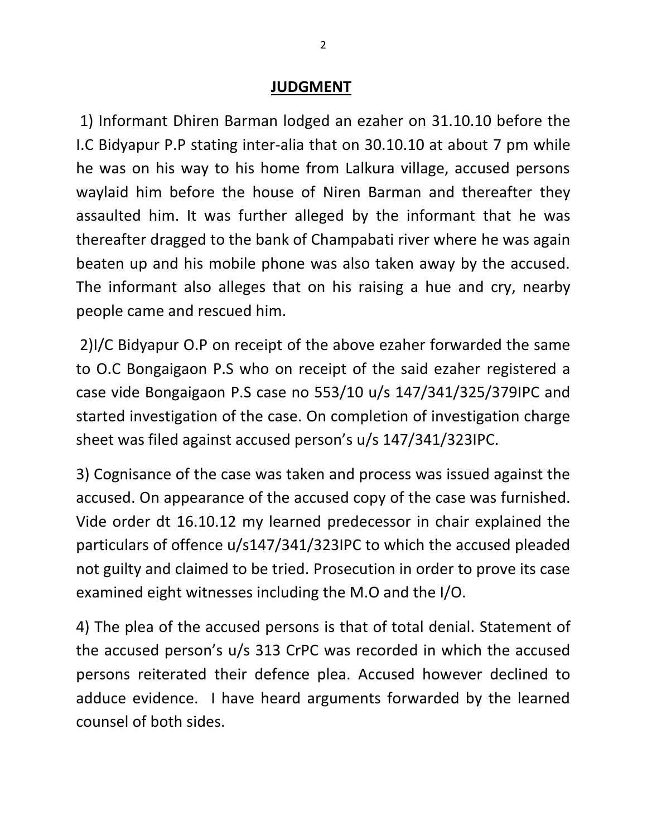## **JUDGMENT**

1) Informant Dhiren Barman lodged an ezaher on 31.10.10 before the I.C Bidyapur P.P stating inter-alia that on 30.10.10 at about 7 pm while he was on his way to his home from Lalkura village, accused persons waylaid him before the house of Niren Barman and thereafter they assaulted him. It was further alleged by the informant that he was thereafter dragged to the bank of Champabati river where he was again beaten up and his mobile phone was also taken away by the accused. The informant also alleges that on his raising a hue and cry, nearby people came and rescued him.

2)I/C Bidyapur O.P on receipt of the above ezaher forwarded the same to O.C Bongaigaon P.S who on receipt of the said ezaher registered a case vide Bongaigaon P.S case no 553/10 u/s 147/341/325/379IPC and started investigation of the case. On completion of investigation charge sheet was filed against accused person's u/s 147/341/323IPC.

3) Cognisance of the case was taken and process was issued against the accused. On appearance of the accused copy of the case was furnished. Vide order dt 16.10.12 my learned predecessor in chair explained the particulars of offence u/s147/341/323IPC to which the accused pleaded not guilty and claimed to be tried. Prosecution in order to prove its case examined eight witnesses including the M.O and the I/O.

4) The plea of the accused persons is that of total denial. Statement of the accused person's u/s 313 CrPC was recorded in which the accused persons reiterated their defence plea. Accused however declined to adduce evidence. I have heard arguments forwarded by the learned counsel of both sides.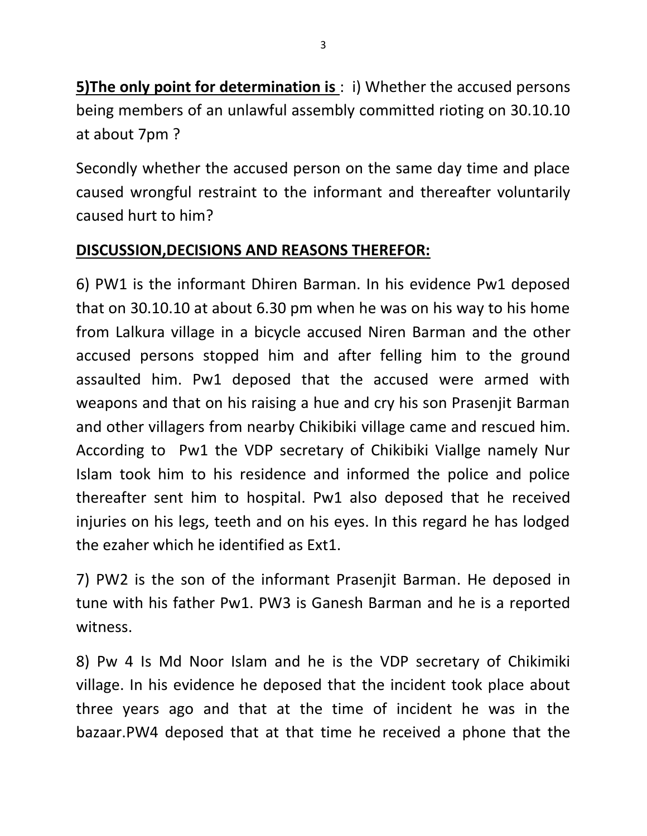**5)The only point for determination is** : i) Whether the accused persons being members of an unlawful assembly committed rioting on 30.10.10 at about 7pm ?

Secondly whether the accused person on the same day time and place caused wrongful restraint to the informant and thereafter voluntarily caused hurt to him?

## **DISCUSSION,DECISIONS AND REASONS THEREFOR:**

6) PW1 is the informant Dhiren Barman. In his evidence Pw1 deposed that on 30.10.10 at about 6.30 pm when he was on his way to his home from Lalkura village in a bicycle accused Niren Barman and the other accused persons stopped him and after felling him to the ground assaulted him. Pw1 deposed that the accused were armed with weapons and that on his raising a hue and cry his son Prasenjit Barman and other villagers from nearby Chikibiki village came and rescued him. According to Pw1 the VDP secretary of Chikibiki Viallge namely Nur Islam took him to his residence and informed the police and police thereafter sent him to hospital. Pw1 also deposed that he received injuries on his legs, teeth and on his eyes. In this regard he has lodged the ezaher which he identified as Ext1.

7) PW2 is the son of the informant Prasenjit Barman. He deposed in tune with his father Pw1. PW3 is Ganesh Barman and he is a reported witness.

8) Pw 4 Is Md Noor Islam and he is the VDP secretary of Chikimiki village. In his evidence he deposed that the incident took place about three years ago and that at the time of incident he was in the bazaar.PW4 deposed that at that time he received a phone that the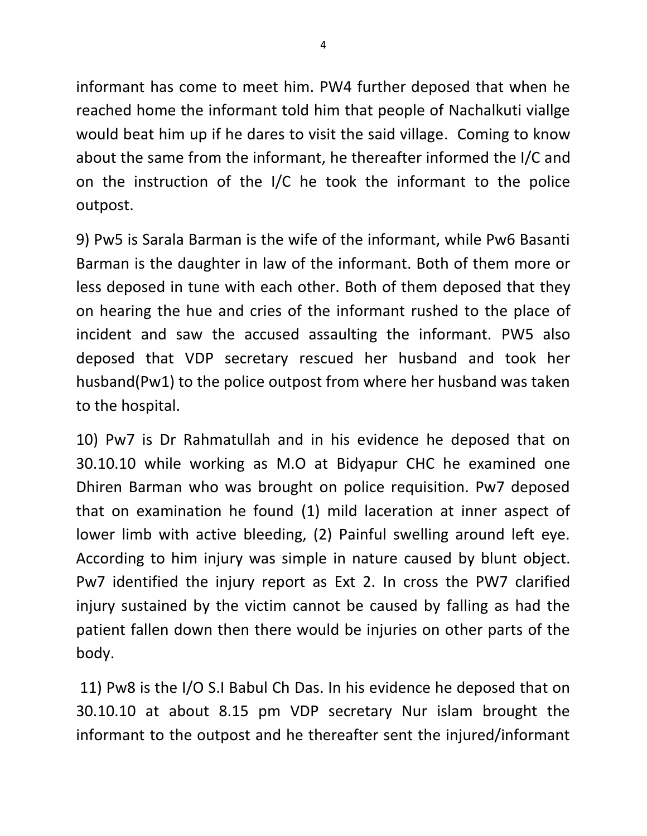informant has come to meet him. PW4 further deposed that when he reached home the informant told him that people of Nachalkuti viallge would beat him up if he dares to visit the said village. Coming to know about the same from the informant, he thereafter informed the I/C and on the instruction of the I/C he took the informant to the police outpost.

9) Pw5 is Sarala Barman is the wife of the informant, while Pw6 Basanti Barman is the daughter in law of the informant. Both of them more or less deposed in tune with each other. Both of them deposed that they on hearing the hue and cries of the informant rushed to the place of incident and saw the accused assaulting the informant. PW5 also deposed that VDP secretary rescued her husband and took her husband(Pw1) to the police outpost from where her husband was taken to the hospital.

10) Pw7 is Dr Rahmatullah and in his evidence he deposed that on 30.10.10 while working as M.O at Bidyapur CHC he examined one Dhiren Barman who was brought on police requisition. Pw7 deposed that on examination he found (1) mild laceration at inner aspect of lower limb with active bleeding, (2) Painful swelling around left eye. According to him injury was simple in nature caused by blunt object. Pw7 identified the injury report as Ext 2. In cross the PW7 clarified injury sustained by the victim cannot be caused by falling as had the patient fallen down then there would be injuries on other parts of the body.

11) Pw8 is the I/O S.I Babul Ch Das. In his evidence he deposed that on 30.10.10 at about 8.15 pm VDP secretary Nur islam brought the informant to the outpost and he thereafter sent the injured/informant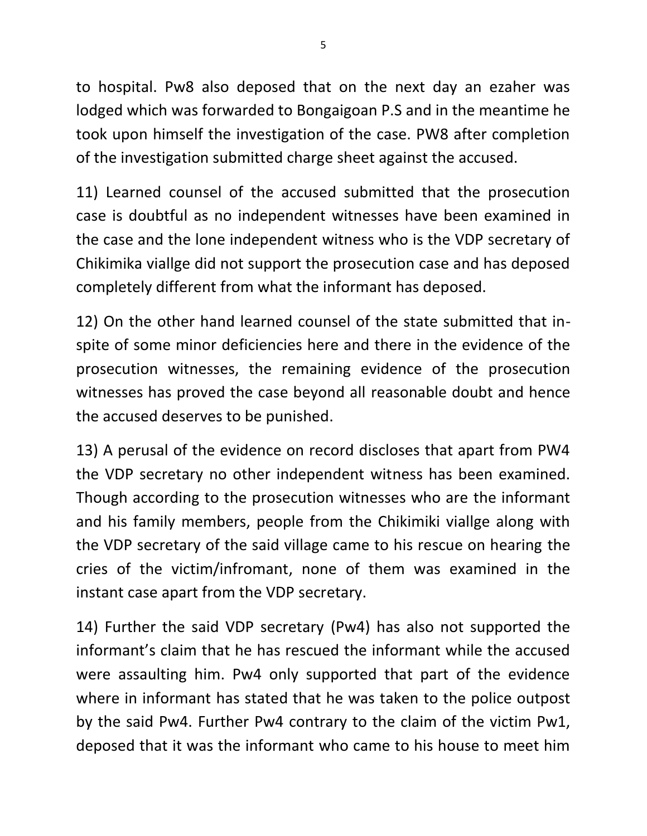to hospital. Pw8 also deposed that on the next day an ezaher was lodged which was forwarded to Bongaigoan P.S and in the meantime he took upon himself the investigation of the case. PW8 after completion of the investigation submitted charge sheet against the accused.

11) Learned counsel of the accused submitted that the prosecution case is doubtful as no independent witnesses have been examined in the case and the lone independent witness who is the VDP secretary of Chikimika viallge did not support the prosecution case and has deposed completely different from what the informant has deposed.

12) On the other hand learned counsel of the state submitted that inspite of some minor deficiencies here and there in the evidence of the prosecution witnesses, the remaining evidence of the prosecution witnesses has proved the case beyond all reasonable doubt and hence the accused deserves to be punished.

13) A perusal of the evidence on record discloses that apart from PW4 the VDP secretary no other independent witness has been examined. Though according to the prosecution witnesses who are the informant and his family members, people from the Chikimiki viallge along with the VDP secretary of the said village came to his rescue on hearing the cries of the victim/infromant, none of them was examined in the instant case apart from the VDP secretary.

14) Further the said VDP secretary (Pw4) has also not supported the informant's claim that he has rescued the informant while the accused were assaulting him. Pw4 only supported that part of the evidence where in informant has stated that he was taken to the police outpost by the said Pw4. Further Pw4 contrary to the claim of the victim Pw1, deposed that it was the informant who came to his house to meet him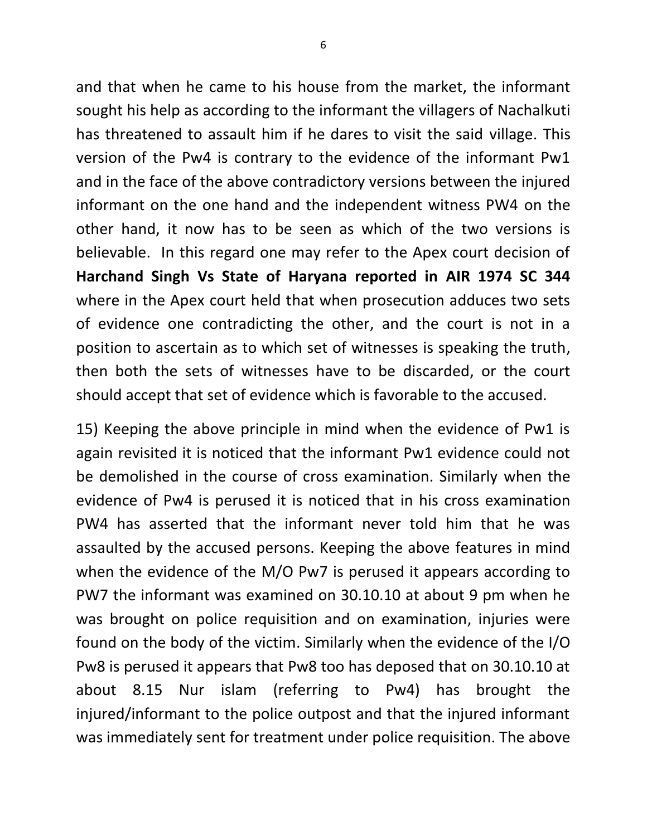and that when he came to his house from the market, the informant sought his help as according to the informant the villagers of Nachalkuti has threatened to assault him if he dares to visit the said village. This version of the Pw4 is contrary to the evidence of the informant Pw1 and in the face of the above contradictory versions between the injured informant on the one hand and the independent witness PW4 on the other hand, it now has to be seen as which of the two versions is believable. In this regard one may refer to the Apex court decision of **Harchand Singh Vs State of Haryana reported in AIR 1974 SC 344** where in the Apex court held that when prosecution adduces two sets of evidence one contradicting the other, and the court is not in a position to ascertain as to which set of witnesses is speaking the truth, then both the sets of witnesses have to be discarded, or the court should accept that set of evidence which is favorable to the accused.

15) Keeping the above principle in mind when the evidence of Pw1 is again revisited it is noticed that the informant Pw1 evidence could not be demolished in the course of cross examination. Similarly when the evidence of Pw4 is perused it is noticed that in his cross examination PW4 has asserted that the informant never told him that he was assaulted by the accused persons. Keeping the above features in mind when the evidence of the M/O Pw7 is perused it appears according to PW7 the informant was examined on 30.10.10 at about 9 pm when he was brought on police requisition and on examination, injuries were found on the body of the victim. Similarly when the evidence of the I/O Pw8 is perused it appears that Pw8 too has deposed that on 30.10.10 at about 8.15 Nur islam (referring to Pw4) has brought the injured/informant to the police outpost and that the injured informant was immediately sent for treatment under police requisition. The above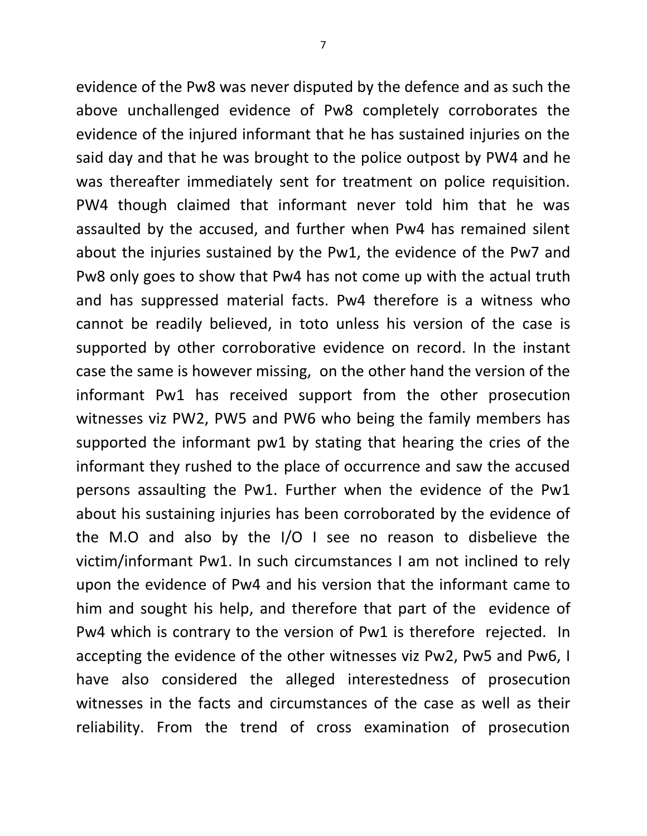evidence of the Pw8 was never disputed by the defence and as such the above unchallenged evidence of Pw8 completely corroborates the evidence of the injured informant that he has sustained injuries on the said day and that he was brought to the police outpost by PW4 and he was thereafter immediately sent for treatment on police requisition. PW4 though claimed that informant never told him that he was assaulted by the accused, and further when Pw4 has remained silent about the injuries sustained by the Pw1, the evidence of the Pw7 and Pw8 only goes to show that Pw4 has not come up with the actual truth and has suppressed material facts. Pw4 therefore is a witness who cannot be readily believed, in toto unless his version of the case is supported by other corroborative evidence on record. In the instant case the same is however missing, on the other hand the version of the informant Pw1 has received support from the other prosecution witnesses viz PW2, PW5 and PW6 who being the family members has supported the informant pw1 by stating that hearing the cries of the informant they rushed to the place of occurrence and saw the accused persons assaulting the Pw1. Further when the evidence of the Pw1 about his sustaining injuries has been corroborated by the evidence of the M.O and also by the I/O I see no reason to disbelieve the victim/informant Pw1. In such circumstances I am not inclined to rely upon the evidence of Pw4 and his version that the informant came to him and sought his help, and therefore that part of the evidence of Pw4 which is contrary to the version of Pw1 is therefore rejected. In accepting the evidence of the other witnesses viz Pw2, Pw5 and Pw6, I have also considered the alleged interestedness of prosecution witnesses in the facts and circumstances of the case as well as their reliability. From the trend of cross examination of prosecution

7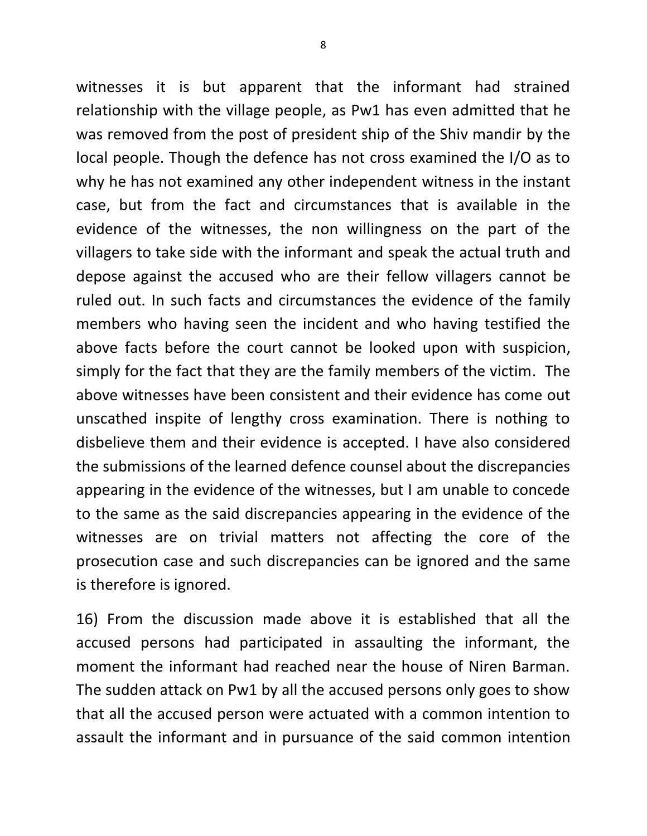witnesses it is but apparent that the informant had strained relationship with the village people, as Pw1 has even admitted that he was removed from the post of president ship of the Shiv mandir by the local people. Though the defence has not cross examined the I/O as to why he has not examined any other independent witness in the instant case, but from the fact and circumstances that is available in the evidence of the witnesses, the non willingness on the part of the villagers to take side with the informant and speak the actual truth and depose against the accused who are their fellow villagers cannot be ruled out. In such facts and circumstances the evidence of the family members who having seen the incident and who having testified the above facts before the court cannot be looked upon with suspicion, simply for the fact that they are the family members of the victim. The above witnesses have been consistent and their evidence has come out unscathed inspite of lengthy cross examination. There is nothing to disbelieve them and their evidence is accepted. I have also considered the submissions of the learned defence counsel about the discrepancies appearing in the evidence of the witnesses, but I am unable to concede to the same as the said discrepancies appearing in the evidence of the witnesses are on trivial matters not affecting the core of the prosecution case and such discrepancies can be ignored and the same is therefore is ignored.

16) From the discussion made above it is established that all the accused persons had participated in assaulting the informant, the moment the informant had reached near the house of Niren Barman. The sudden attack on Pw1 by all the accused persons only goes to show that all the accused person were actuated with a common intention to assault the informant and in pursuance of the said common intention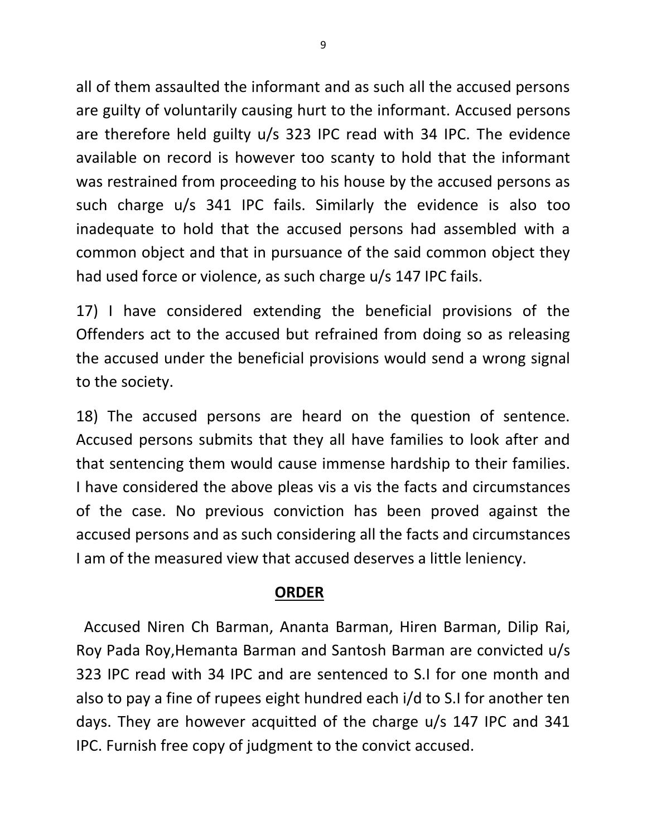all of them assaulted the informant and as such all the accused persons are guilty of voluntarily causing hurt to the informant. Accused persons are therefore held guilty u/s 323 IPC read with 34 IPC. The evidence available on record is however too scanty to hold that the informant was restrained from proceeding to his house by the accused persons as such charge u/s 341 IPC fails. Similarly the evidence is also too inadequate to hold that the accused persons had assembled with a common object and that in pursuance of the said common object they had used force or violence, as such charge u/s 147 IPC fails.

17) I have considered extending the beneficial provisions of the Offenders act to the accused but refrained from doing so as releasing the accused under the beneficial provisions would send a wrong signal to the society.

18) The accused persons are heard on the question of sentence. Accused persons submits that they all have families to look after and that sentencing them would cause immense hardship to their families. I have considered the above pleas vis a vis the facts and circumstances of the case. No previous conviction has been proved against the accused persons and as such considering all the facts and circumstances I am of the measured view that accused deserves a little leniency.

## **ORDER**

 Accused Niren Ch Barman, Ananta Barman, Hiren Barman, Dilip Rai, Roy Pada Roy,Hemanta Barman and Santosh Barman are convicted u/s 323 IPC read with 34 IPC and are sentenced to S.I for one month and also to pay a fine of rupees eight hundred each i/d to S.I for another ten days. They are however acquitted of the charge u/s 147 IPC and 341 IPC. Furnish free copy of judgment to the convict accused.